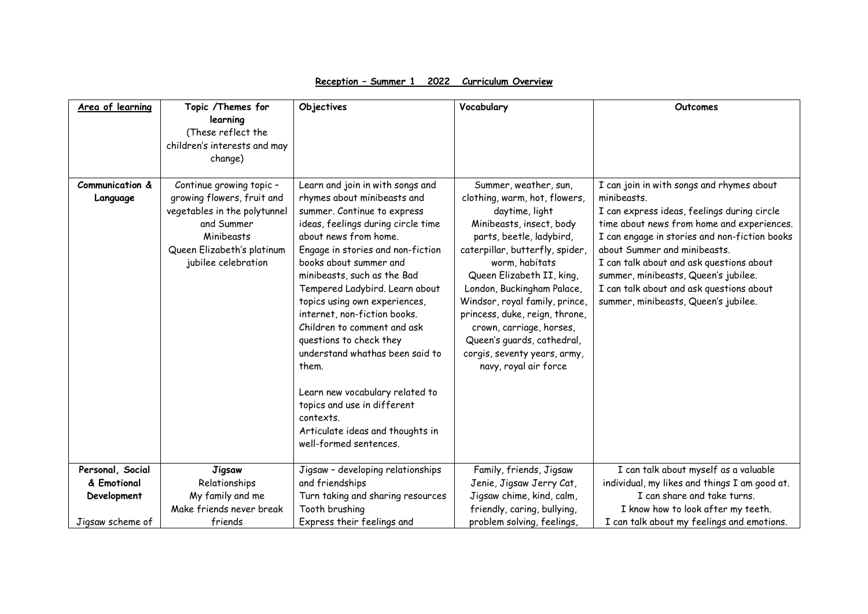| Area of learning            | Topic /Themes for                                                                                                                                                       | Objectives                                                                                                                                                                                                                                                                                                                                                                                                                                                                                                                                                                                                        | Vocabulary                                                                                                                                                                                                                                                                                                                                                                                                                              | Outcomes                                                                                                                                                                                                                                                                                                                                                                                                       |
|-----------------------------|-------------------------------------------------------------------------------------------------------------------------------------------------------------------------|-------------------------------------------------------------------------------------------------------------------------------------------------------------------------------------------------------------------------------------------------------------------------------------------------------------------------------------------------------------------------------------------------------------------------------------------------------------------------------------------------------------------------------------------------------------------------------------------------------------------|-----------------------------------------------------------------------------------------------------------------------------------------------------------------------------------------------------------------------------------------------------------------------------------------------------------------------------------------------------------------------------------------------------------------------------------------|----------------------------------------------------------------------------------------------------------------------------------------------------------------------------------------------------------------------------------------------------------------------------------------------------------------------------------------------------------------------------------------------------------------|
|                             | learning<br>(These reflect the<br>children's interests and may<br>change)                                                                                               |                                                                                                                                                                                                                                                                                                                                                                                                                                                                                                                                                                                                                   |                                                                                                                                                                                                                                                                                                                                                                                                                                         |                                                                                                                                                                                                                                                                                                                                                                                                                |
|                             |                                                                                                                                                                         |                                                                                                                                                                                                                                                                                                                                                                                                                                                                                                                                                                                                                   |                                                                                                                                                                                                                                                                                                                                                                                                                                         |                                                                                                                                                                                                                                                                                                                                                                                                                |
| Communication &<br>Language | Continue growing topic -<br>growing flowers, fruit and<br>vegetables in the polytunnel<br>and Summer<br>Minibeasts<br>Queen Elizabeth's platinum<br>jubilee celebration | Learn and join in with songs and<br>rhymes about minibeasts and<br>summer. Continue to express<br>ideas, feelings during circle time<br>about news from home.<br>Engage in stories and non-fiction<br>books about summer and<br>minibeasts, such as the Bad<br>Tempered Ladybird. Learn about<br>topics using own experiences,<br>internet, non-fiction books.<br>Children to comment and ask<br>questions to check they<br>understand whathas been said to<br>them.<br>Learn new vocabulary related to<br>topics and use in different<br>contexts.<br>Articulate ideas and thoughts in<br>well-formed sentences. | Summer, weather, sun,<br>clothing, warm, hot, flowers,<br>daytime, light<br>Minibeasts, insect, body<br>parts, beetle, ladybird,<br>caterpillar, butterfly, spider,<br>worm, habitats<br>Queen Elizabeth II, king,<br>London, Buckingham Palace,<br>Windsor, royal family, prince,<br>princess, duke, reign, throne,<br>crown, carriage, horses,<br>Queen's guards, cathedral,<br>corgis, seventy years, army,<br>navy, royal air force | I can join in with songs and rhymes about<br>minibeasts.<br>I can express ideas, feelings during circle<br>time about news from home and experiences.<br>I can engage in stories and non-fiction books<br>about Summer and minibeasts.<br>I can talk about and ask questions about<br>summer, minibeasts, Queen's jubilee.<br>I can talk about and ask questions about<br>summer, minibeasts, Queen's jubilee. |
| Personal, Social            | <b>Jigsaw</b>                                                                                                                                                           | Jigsaw - developing relationships                                                                                                                                                                                                                                                                                                                                                                                                                                                                                                                                                                                 | Family, friends, Jigsaw                                                                                                                                                                                                                                                                                                                                                                                                                 | I can talk about myself as a valuable                                                                                                                                                                                                                                                                                                                                                                          |
| & Emotional                 | Relationships                                                                                                                                                           | and friendships                                                                                                                                                                                                                                                                                                                                                                                                                                                                                                                                                                                                   | Jenie, Jigsaw Jerry Cat,                                                                                                                                                                                                                                                                                                                                                                                                                | individual, my likes and things I am good at.                                                                                                                                                                                                                                                                                                                                                                  |
| Development                 | My family and me<br>Make friends never break                                                                                                                            | Turn taking and sharing resources<br>Tooth brushing                                                                                                                                                                                                                                                                                                                                                                                                                                                                                                                                                               | Jigsaw chime, kind, calm,<br>friendly, caring, bullying,                                                                                                                                                                                                                                                                                                                                                                                | I can share and take turns.<br>I know how to look after my teeth.                                                                                                                                                                                                                                                                                                                                              |
| Jigsaw scheme of            | friends                                                                                                                                                                 | Express their feelings and                                                                                                                                                                                                                                                                                                                                                                                                                                                                                                                                                                                        | problem solving, feelings,                                                                                                                                                                                                                                                                                                                                                                                                              | I can talk about my feelings and emotions.                                                                                                                                                                                                                                                                                                                                                                     |

**Reception – Summer 1 2022 Curriculum Overview**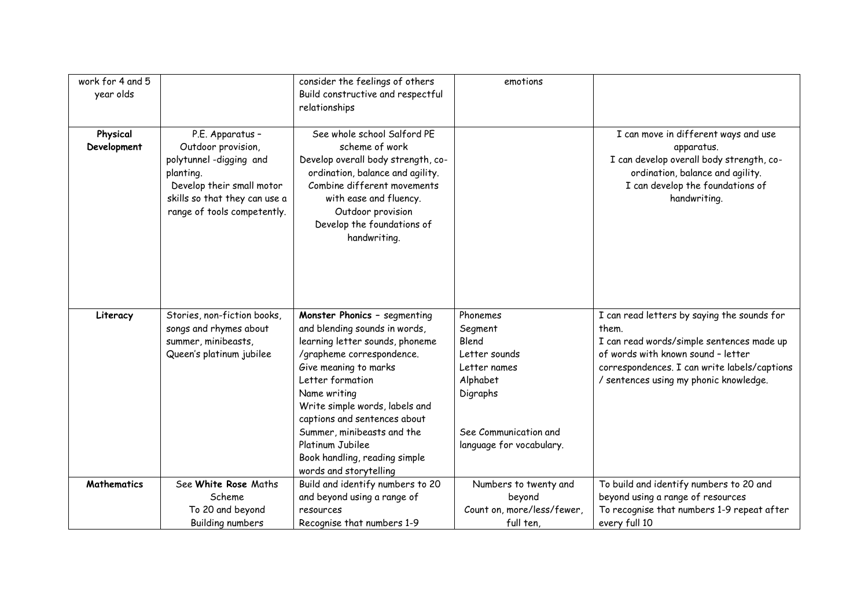| work for 4 and 5<br>year olds |                                                                                                                                                                            | consider the feelings of others<br>Build constructive and respectful<br>relationships                                                                                                                                                                                                                                                                                     | emotions                                                                                                                                   |                                                                                                                                                                                                                                   |
|-------------------------------|----------------------------------------------------------------------------------------------------------------------------------------------------------------------------|---------------------------------------------------------------------------------------------------------------------------------------------------------------------------------------------------------------------------------------------------------------------------------------------------------------------------------------------------------------------------|--------------------------------------------------------------------------------------------------------------------------------------------|-----------------------------------------------------------------------------------------------------------------------------------------------------------------------------------------------------------------------------------|
| Physical<br>Development       | P.E. Apparatus -<br>Outdoor provision,<br>polytunnel-digging and<br>planting.<br>Develop their small motor<br>skills so that they can use a<br>range of tools competently. | See whole school Salford PE<br>scheme of work<br>Develop overall body strength, co-<br>ordination, balance and agility.<br>Combine different movements<br>with ease and fluency.<br>Outdoor provision<br>Develop the foundations of<br>handwriting.                                                                                                                       |                                                                                                                                            | I can move in different ways and use<br>apparatus.<br>I can develop overall body strength, co-<br>ordination, balance and agility.<br>I can develop the foundations of<br>handwriting.                                            |
| Literacy                      | Stories, non-fiction books,<br>songs and rhymes about<br>summer, minibeasts,<br>Queen's platinum jubilee                                                                   | Monster Phonics - segmenting<br>and blending sounds in words,<br>learning letter sounds, phoneme<br>/grapheme correspondence.<br>Give meaning to marks<br>Letter formation<br>Name writing<br>Write simple words, labels and<br>captions and sentences about<br>Summer, minibeasts and the<br>Platinum Jubilee<br>Book handling, reading simple<br>words and storytelling | Phonemes<br>Segment<br>Blend<br>Letter sounds<br>Letter names<br>Alphabet<br>Digraphs<br>See Communication and<br>language for vocabulary. | I can read letters by saying the sounds for<br>them.<br>I can read words/simple sentences made up<br>of words with known sound - letter<br>correspondences. I can write labels/captions<br>/ sentences using my phonic knowledge. |
| <b>Mathematics</b>            | See White Rose Maths<br>Scheme<br>To 20 and beyond<br><b>Building numbers</b>                                                                                              | Build and identify numbers to 20<br>and beyond using a range of<br>resources<br>Recognise that numbers 1-9                                                                                                                                                                                                                                                                | Numbers to twenty and<br>beyond<br>Count on, more/less/fewer,<br>full ten,                                                                 | To build and identify numbers to 20 and<br>beyond using a range of resources<br>To recognise that numbers 1-9 repeat after<br>every full 10                                                                                       |